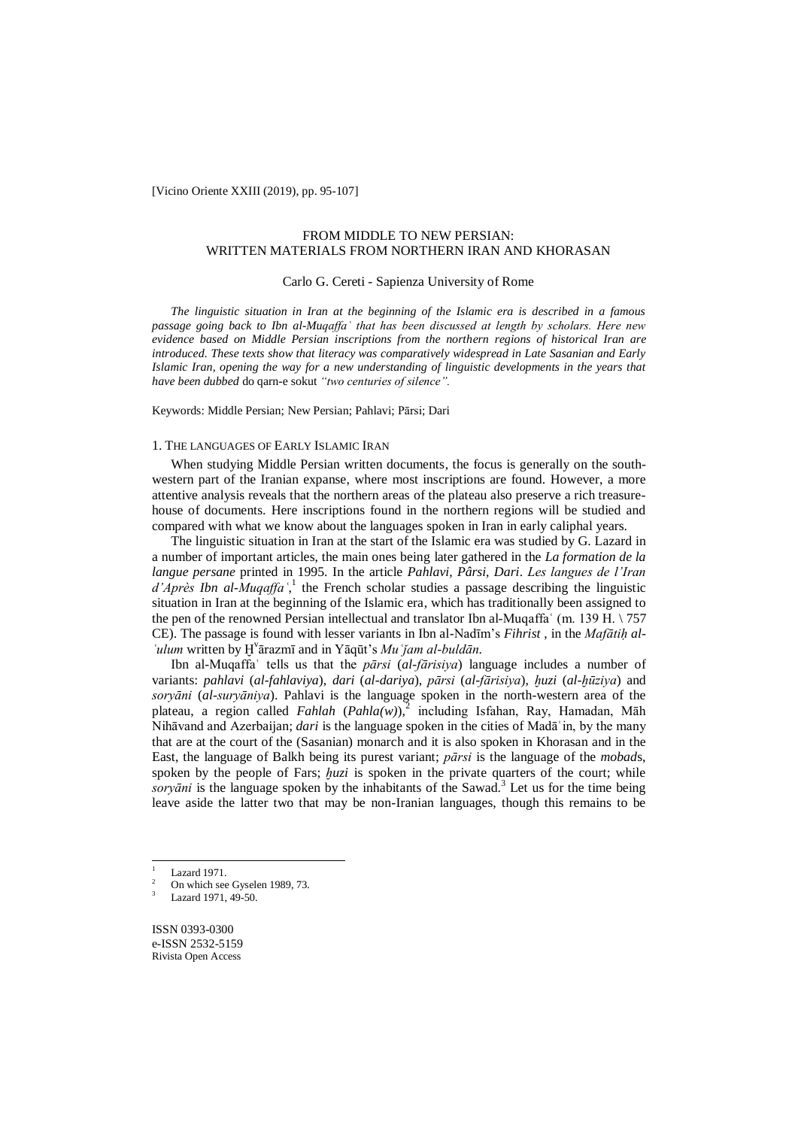[Vicino Oriente XXIII (2019), pp. 95-107]

# FROM MIDDLE TO NEW PERSIAN: WRITTEN MATERIALS FROM NORTHERN IRAN AND KHORASAN

# Carlo G. Cereti - Sapienza University of Rome

*The linguistic situation in Iran at the beginning of the Islamic era is described in a famous passage going back to Ibn al-Muqaffaʿ that has been discussed at length by scholars. Here new evidence based on Middle Persian inscriptions from the northern regions of historical Iran are introduced. These texts show that literacy was comparatively widespread in Late Sasanian and Early Islamic Iran, opening the way for a new understanding of linguistic developments in the years that have been dubbed* do qarn-e sokut *"two centuries of silence".*

Keywords: Middle Persian; New Persian; Pahlavi; Pārsi; Dari

# 1. THE LANGUAGES OF EARLY ISLAMIC IRAN

When studying Middle Persian written documents, the focus is generally on the southwestern part of the Iranian expanse, where most inscriptions are found. However, a more attentive analysis reveals that the northern areas of the plateau also preserve a rich treasurehouse of documents. Here inscriptions found in the northern regions will be studied and compared with what we know about the languages spoken in Iran in early caliphal years.

The linguistic situation in Iran at the start of the Islamic era was studied by G. Lazard in a number of important articles, the main ones being later gathered in the *La formation de la langue persane* printed in 1995. In the article *Pahlavi, Pârsi, Dari*. *Les langues de l'Iran*  d'Après Ibn al-Muqaffa<sup>',1</sup> the French scholar studies a passage describing the linguistic situation in Iran at the beginning of the Islamic era, which has traditionally been assigned to the pen of the renowned Persian intellectual and translator Ibn al-Muqaffa<sup> $\cdot$ </sup> (m. 139 H. \ 757 CE). The passage is found with lesser variants in Ibn al-Nadīm's *Fihrist* , in the *Mafātiḥ al-ʿulum* written by Ḫ v ārazmī and in Yāqūt's *Muʿǰam al-buldān*.

Ibn al-Muqaffaʿ tells us that the *pārsi* (*al-fārisiya*) language includes a number of variants: *pahlavi* (*al-fahlaviya*), *dari* (*al-dariya*), *pārsi* (*al-fārisiya*), *ḫuzi* (*al-ḫūziya*) and *soryāni* (*al-suryāniya*). Pahlavi is the language spoken in the north-western area of the plateau, a region called *Fahlah* (*Pahla(w)*),<sup>2</sup> including Isfahan, Ray, Hamadan, Māh Nihāvand and Azerbaijan; *dari* is the language spoken in the cities of Madāʿin, by the many that are at the court of the (Sasanian) monarch and it is also spoken in Khorasan and in the East, the language of Balkh being its purest variant; *pārsi* is the language of the *mobad*s, spoken by the people of Fars; *huzi* is spoken in the private quarters of the court; while *soryāni* is the language spoken by the inhabitants of the Sawad. 3 Let us for the time being leave aside the latter two that may be non-Iranian languages, though this remains to be

 $\overline{a}$ 

ISSN 0393-0300 e-ISSN 2532-5159 Rivista Open Access

 $\frac{1}{2}$  Lazard 1971.

<sup>2</sup> On which see Gyselen 1989, 73.

Lazard 1971, 49-50.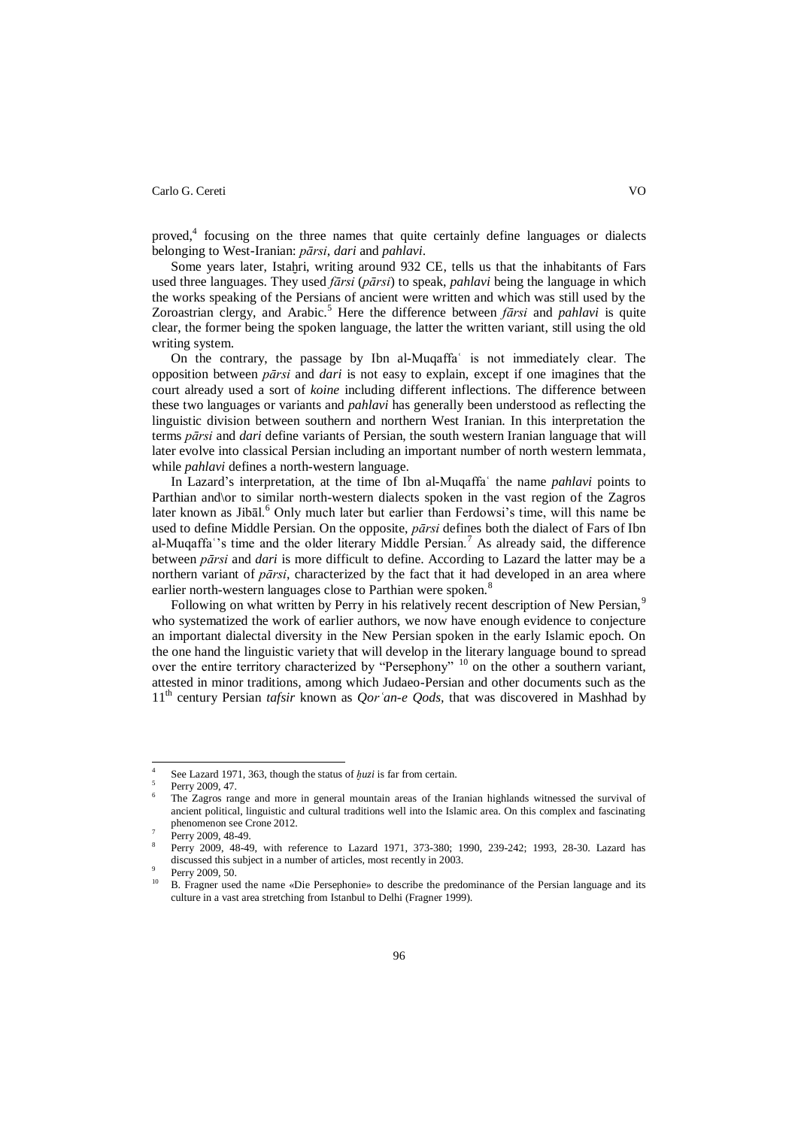proved,<sup>4</sup> focusing on the three names that quite certainly define languages or dialects belonging to West-Iranian: *pārsi*, *dari* and *pahlavi*.

Some years later, Istahri, writing around 932 CE, tells us that the inhabitants of Fars used three languages. They used *fārsi* (*pārsi*) to speak, *pahlavi* being the language in which the works speaking of the Persians of ancient were written and which was still used by the Zoroastrian clergy, and Arabic.<sup>5</sup> Here the difference between *fārsi* and *pahlavi* is quite clear, the former being the spoken language, the latter the written variant, still using the old writing system.

On the contrary, the passage by Ibn al-Muqaffa<sup>'</sup> is not immediately clear. The opposition between *pārsi* and *dari* is not easy to explain, except if one imagines that the court already used a sort of *koine* including different inflections. The difference between these two languages or variants and *pahlavi* has generally been understood as reflecting the linguistic division between southern and northern West Iranian. In this interpretation the terms *pārsi* and *dari* define variants of Persian, the south western Iranian language that will later evolve into classical Persian including an important number of north western lemmata, while *pahlavi* defines a north-western language.

In Lazard's interpretation, at the time of Ibn al-Muqaffaʿ the name *pahlavi* points to Parthian and\or to similar north-western dialects spoken in the vast region of the Zagros later known as Jibāl. $^6$  Only much later but earlier than Ferdowsi's time, will this name be used to define Middle Persian. On the opposite, *pārsi* defines both the dialect of Fars of Ibn al-Muqaffa<sup>o</sup>'s time and the older literary Middle Persian.<sup>7</sup> As already said, the difference between *pārsi* and *dari* is more difficult to define. According to Lazard the latter may be a northern variant of *pārsi*, characterized by the fact that it had developed in an area where earlier north-western languages close to Parthian were spoken.<sup>8</sup>

Following on what written by Perry in his relatively recent description of New Persian,<sup>9</sup> who systematized the work of earlier authors, we now have enough evidence to conjecture an important dialectal diversity in the New Persian spoken in the early Islamic epoch. On the one hand the linguistic variety that will develop in the literary language bound to spread over the entire territory characterized by "Persephony" <sup>10</sup> on the other a southern variant, attested in minor traditions, among which Judaeo-Persian and other documents such as the 11th century Persian *tafsir* known as *Qorʿan-e Qods,* that was discovered in Mashhad by

 $\overline{a}$ 

<sup>4</sup> See Lazard 1971, 363, though the status of *ḫuzi* is far from certain.

<sup>5</sup> Perry 2009, 47.

<sup>6</sup> The Zagros range and more in general mountain areas of the Iranian highlands witnessed the survival of ancient political, linguistic and cultural traditions well into the Islamic area. On this complex and fascinating phenomenon see Crone 2012.

<sup>7</sup> Perry 2009, 48-49.

<sup>8</sup> Perry 2009, 48-49, with reference to Lazard 1971, 373-380; 1990, 239-242; 1993, 28-30. Lazard has discussed this subject in a number of articles, most recently in 2003.

<sup>9</sup> Perry 2009, 50.

<sup>&</sup>lt;sup>10</sup> B. Fragner used the name «Die Persephonie» to describe the predominance of the Persian language and its culture in a vast area stretching from Istanbul to Delhi (Fragner 1999).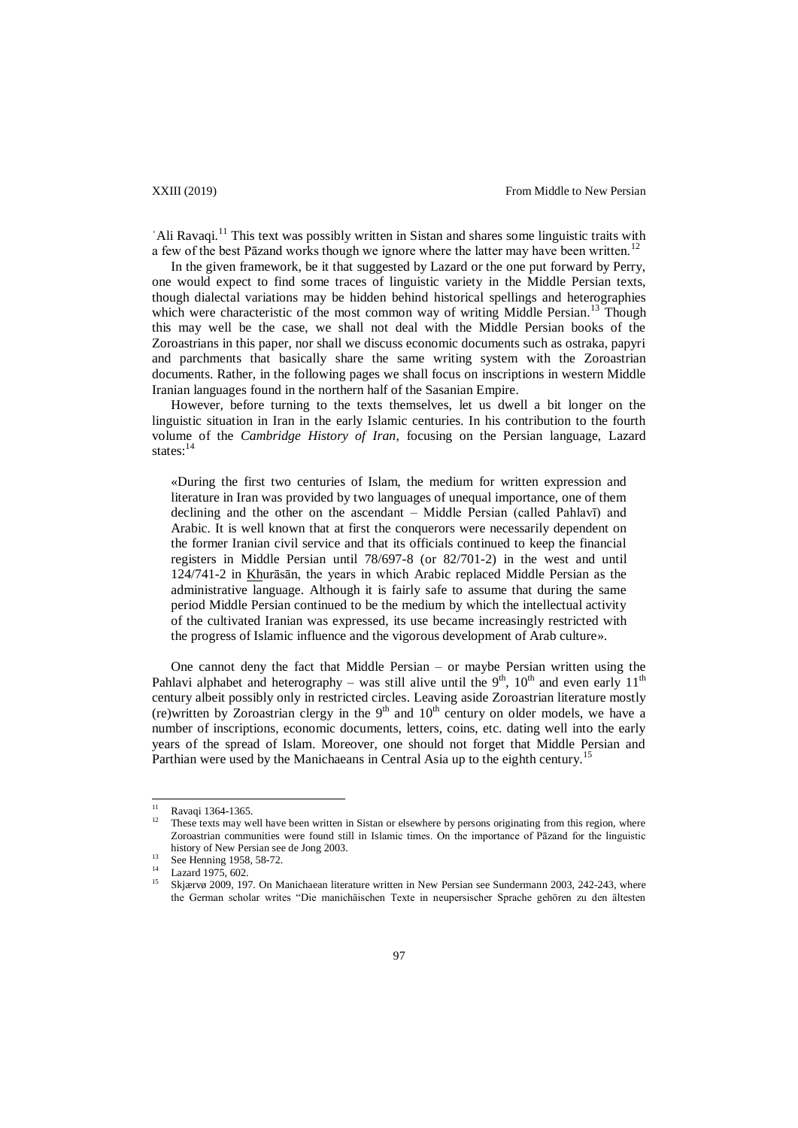'Ali Ravaqi.<sup>11</sup> This text was possibly written in Sistan and shares some linguistic traits with a few of the best Pāzand works though we ignore where the latter may have been written.<sup>12</sup>

In the given framework, be it that suggested by Lazard or the one put forward by Perry, one would expect to find some traces of linguistic variety in the Middle Persian texts, though dialectal variations may be hidden behind historical spellings and heterographies which were characteristic of the most common way of writing Middle Persian.<sup>13</sup> Though this may well be the case, we shall not deal with the Middle Persian books of the Zoroastrians in this paper, nor shall we discuss economic documents such as ostraka, papyri and parchments that basically share the same writing system with the Zoroastrian documents. Rather, in the following pages we shall focus on inscriptions in western Middle Iranian languages found in the northern half of the Sasanian Empire.

However, before turning to the texts themselves, let us dwell a bit longer on the linguistic situation in Iran in the early Islamic centuries. In his contribution to the fourth volume of the *Cambridge History of Iran*, focusing on the Persian language, Lazard states:<sup>14</sup>

«During the first two centuries of Islam, the medium for written expression and literature in Iran was provided by two languages of unequal importance, one of them declining and the other on the ascendant – Middle Persian (called Pahlavī) and Arabic. It is well known that at first the conquerors were necessarily dependent on the former Iranian civil service and that its officials continued to keep the financial registers in Middle Persian until 78/697-8 (or 82/701-2) in the west and until 124/741-2 in Khurāsān, the years in which Arabic replaced Middle Persian as the administrative language. Although it is fairly safe to assume that during the same period Middle Persian continued to be the medium by which the intellectual activity of the cultivated Iranian was expressed, its use became increasingly restricted with the progress of Islamic influence and the vigorous development of Arab culture».

One cannot deny the fact that Middle Persian – or maybe Persian written using the Pahlavi alphabet and heterography – was still alive until the  $9<sup>th</sup>$ ,  $10<sup>th</sup>$  and even early  $11<sup>th</sup>$ century albeit possibly only in restricted circles. Leaving aside Zoroastrian literature mostly (re)written by Zoroastrian clergy in the  $9<sup>th</sup>$  and  $10<sup>th</sup>$  century on older models, we have a number of inscriptions, economic documents, letters, coins, etc. dating well into the early years of the spread of Islam. Moreover, one should not forget that Middle Persian and Parthian were used by the Manichaeans in Central Asia up to the eighth century.<sup>1</sup>

 $11$  $\frac{11}{12}$  Ravaqi 1364-1365.

These texts may well have been written in Sistan or elsewhere by persons originating from this region, where Zoroastrian communities were found still in Islamic times. On the importance of Pāzand for the linguistic history of New Persian see de Jong 2003.

<sup>&</sup>lt;sup>13</sup> See Henning 1958, 58-72.

 $\frac{14}{15}$  Lazard 1975, 602.

<sup>15</sup> Skjærvø 2009, 197. On Manichaean literature written in New Persian see Sundermann 2003, 242-243, where the German scholar writes "Die manichäischen Texte in neupersischer Sprache gehören zu den ältesten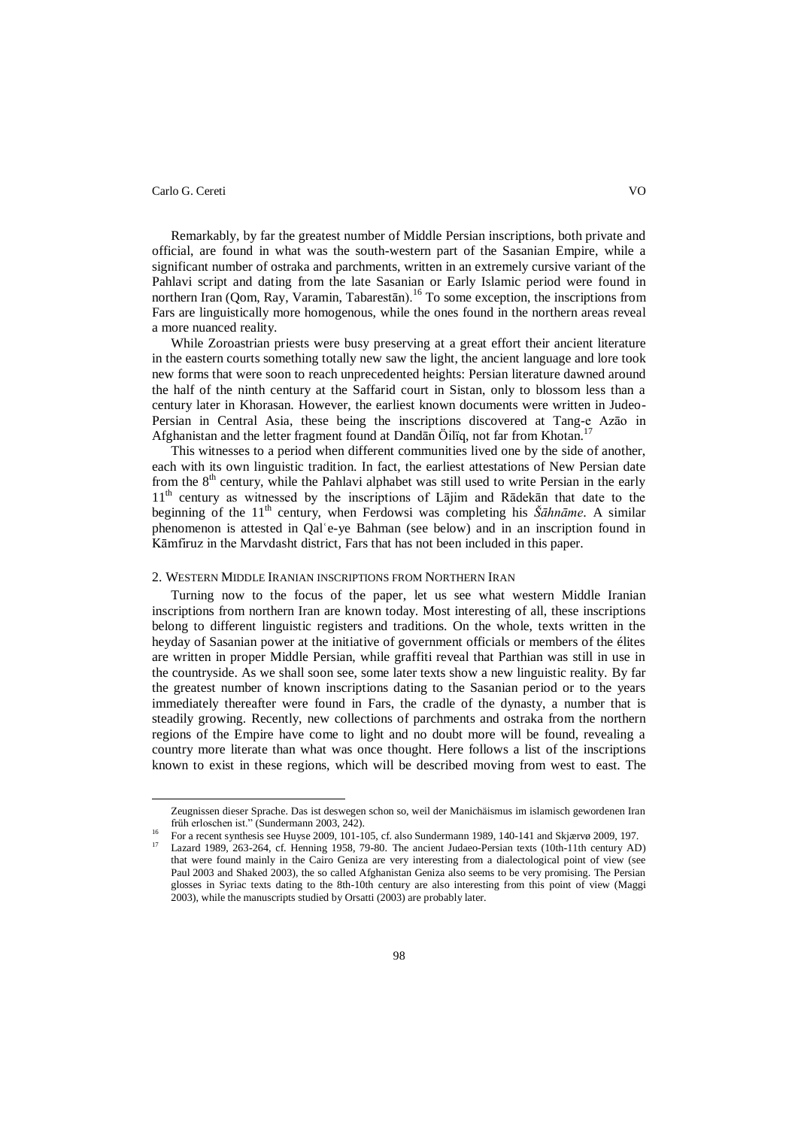$\overline{\phantom{a}}$ 

Remarkably, by far the greatest number of Middle Persian inscriptions, both private and official, are found in what was the south-western part of the Sasanian Empire, while a significant number of ostraka and parchments, written in an extremely cursive variant of the Pahlavi script and dating from the late Sasanian or Early Islamic period were found in northern Iran (Qom, Ray, Varamin, Tabarestān).<sup>16</sup> To some exception, the inscriptions from Fars are linguistically more homogenous, while the ones found in the northern areas reveal a more nuanced reality.

While Zoroastrian priests were busy preserving at a great effort their ancient literature in the eastern courts something totally new saw the light, the ancient language and lore took new forms that were soon to reach unprecedented heights: Persian literature dawned around the half of the ninth century at the Saffarid court in Sistan, only to blossom less than a century later in Khorasan. However, the earliest known documents were written in Judeo-Persian in Central Asia, these being the inscriptions discovered at Tang-e Azāo in Afghanistan and the letter fragment found at Dandān Öilïq, not far from Khotan.<sup>17</sup>

This witnesses to a period when different communities lived one by the side of another, each with its own linguistic tradition. In fact, the earliest attestations of New Persian date from the 8<sup>th</sup> century, while the Pahlavi alphabet was still used to write Persian in the early 11<sup>th</sup> century as witnessed by the inscriptions of Lājim and Rādekān that date to the beginning of the 11<sup>th</sup> century, when Ferdowsi was completing his *Šāhnāme*. A similar phenomenon is attested in Qalʿe-ye Bahman (see below) and in an inscription found in Kāmfiruz in the Marvdasht district, Fars that has not been included in this paper.

# 2. WESTERN MIDDLE IRANIAN INSCRIPTIONS FROM NORTHERN IRAN

Turning now to the focus of the paper, let us see what western Middle Iranian inscriptions from northern Iran are known today. Most interesting of all, these inscriptions belong to different linguistic registers and traditions. On the whole, texts written in the heyday of Sasanian power at the initiative of government officials or members of the élites are written in proper Middle Persian, while graffiti reveal that Parthian was still in use in the countryside. As we shall soon see, some later texts show a new linguistic reality. By far the greatest number of known inscriptions dating to the Sasanian period or to the years immediately thereafter were found in Fars, the cradle of the dynasty, a number that is steadily growing. Recently, new collections of parchments and ostraka from the northern regions of the Empire have come to light and no doubt more will be found, revealing a country more literate than what was once thought. Here follows a list of the inscriptions known to exist in these regions, which will be described moving from west to east. The

Zeugnissen dieser Sprache. Das ist deswegen schon so, weil der Manichäismus im islamisch gewordenen Iran früh erloschen ist." (Sundermann 2003, 242).

<sup>&</sup>lt;sup>16</sup> For a recent synthesis see Huyse 2009, 101-105, cf. also Sundermann 1989, 140-141 and Skjærvø 2009, 197.

<sup>17</sup> Lazard 1989, 263-264, cf. Henning 1958, 79-80. The ancient Judaeo-Persian texts (10th-11th century AD) that were found mainly in the Cairo Geniza are very interesting from a dialectological point of view (see Paul 2003 and Shaked 2003), the so called Afghanistan Geniza also seems to be very promising. The Persian glosses in Syriac texts dating to the 8th-10th century are also interesting from this point of view (Maggi 2003), while the manuscripts studied by Orsatti (2003) are probably later.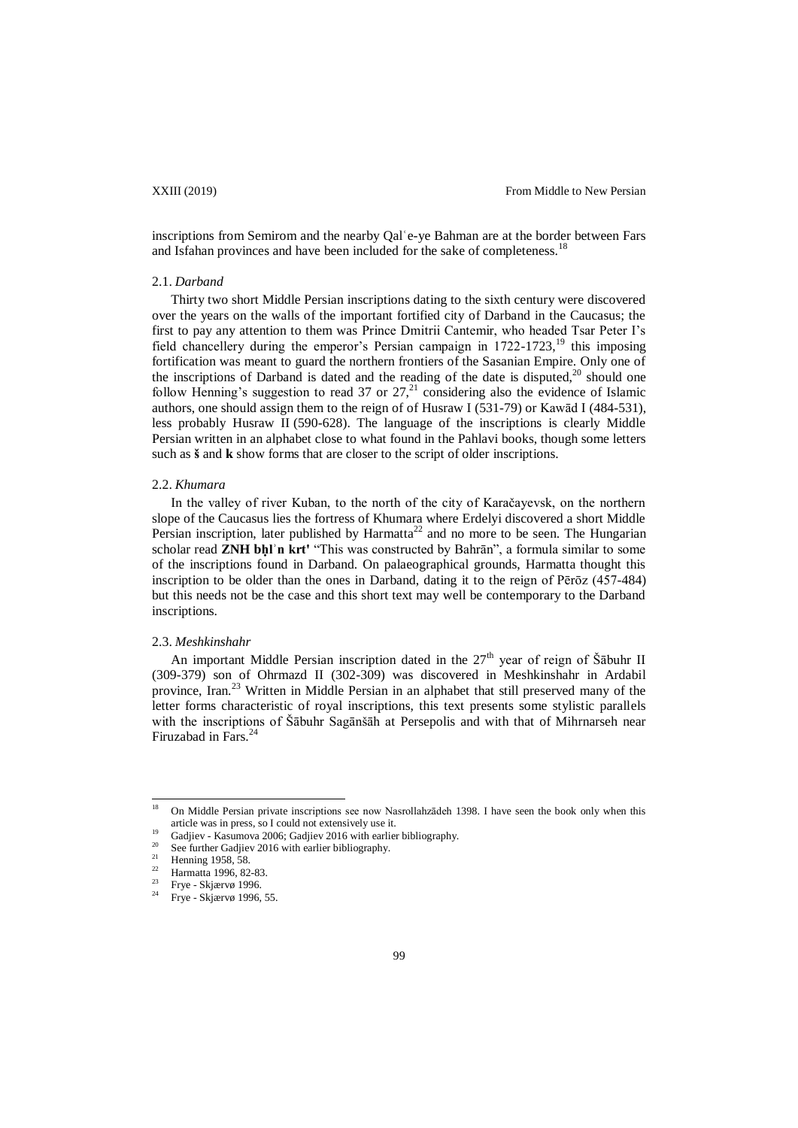inscriptions from Semirom and the nearby Qal'e-ye Bahman are at the border between Fars and Isfahan provinces and have been included for the sake of completeness.<sup>18</sup>

### 2.1. *Darband*

Thirty two short Middle Persian inscriptions dating to the sixth century were discovered over the years on the walls of the important fortified city of Darband in the Caucasus; the first to pay any attention to them was Prince Dmitrii Cantemir, who headed Tsar Peter I's field chancellery during the emperor's Persian campaign in  $1722-1723$ ,<sup>19</sup> this imposing fortification was meant to guard the northern frontiers of the Sasanian Empire. Only one of the inscriptions of Darband is dated and the reading of the date is disputed, $20$  should one follow Henning's suggestion to read 37 or  $27<sup>21</sup>$  considering also the evidence of Islamic authors, one should assign them to the reign of of Husraw I (531-79) o[r Kawād I](http://www.iranicaonline.org/articles/kawad-i-reign) (484-531), less probably [Husraw](http://www.iranicaonline.org/articles/khosrow-ii) II (590-628). The language of the inscriptions is clearly Middle Persian written in an alphabet close to what found in the Pahlavi books, though some letters such as **š** and **k** show forms that are closer to the script of older inscriptions.

#### 2.2. *Khumara*

In the valley of river Kuban, to the north of the city of Karačayevsk, on the northern slope of the Caucasus lies the fortress of Khumara where Erdelyi discovered a short Middle Persian inscription, later published by Harmatta<sup>22</sup> and no more to be seen. The Hungarian scholar read **ZNH bḥlʾn krt'** "This was constructed by Bahrān", a formula similar to some of the inscriptions found in Darband. On palaeographical grounds, Harmatta thought this inscription to be older than the ones in Darband, dating it to the reign of Pērōz (457-484) but this needs not be the case and this short text may well be contemporary to the Darband inscriptions.

#### 2.3. *Meshkinshahr*

An important Middle Persian inscription dated in the  $27<sup>th</sup>$  year of reign of Šābuhr II (309-379) son of Ohrmazd II (302-309) was discovered in Meshkinshahr in Ardabil province, Iran.<sup>23</sup> Written in Middle Persian in an alphabet that still preserved many of the letter forms characteristic of royal inscriptions, this text presents some stylistic parallels with the inscriptions of Šābuhr Sagānšāh at Persepolis and with that of Mihrnarseh near Firuzabad in Fars.<sup>24</sup>

<sup>18</sup> <sup>18</sup> On Middle Persian private inscriptions see now Nasrollahzādeh 1398. I have seen the book only when this article was in press, so I could not extensively use it.

<sup>&</sup>lt;sup>19</sup> Gadjiev - Kasumova 2006; Gadjiev 2016 with earlier bibliography.

<sup>&</sup>lt;sup>20</sup> See further Gadjiev 2016 with earlier bibliography.

<sup>&</sup>lt;sup>21</sup> Henning 1958, 58.<br> $\frac{22}{12}$  Hennette 1006, 82

<sup>&</sup>lt;sup>22</sup> Harmatta 1996, 82-83.

 $\frac{23}{24}$  Frye - Skjærvø 1996.

Frye - Skjærvø 1996, 55.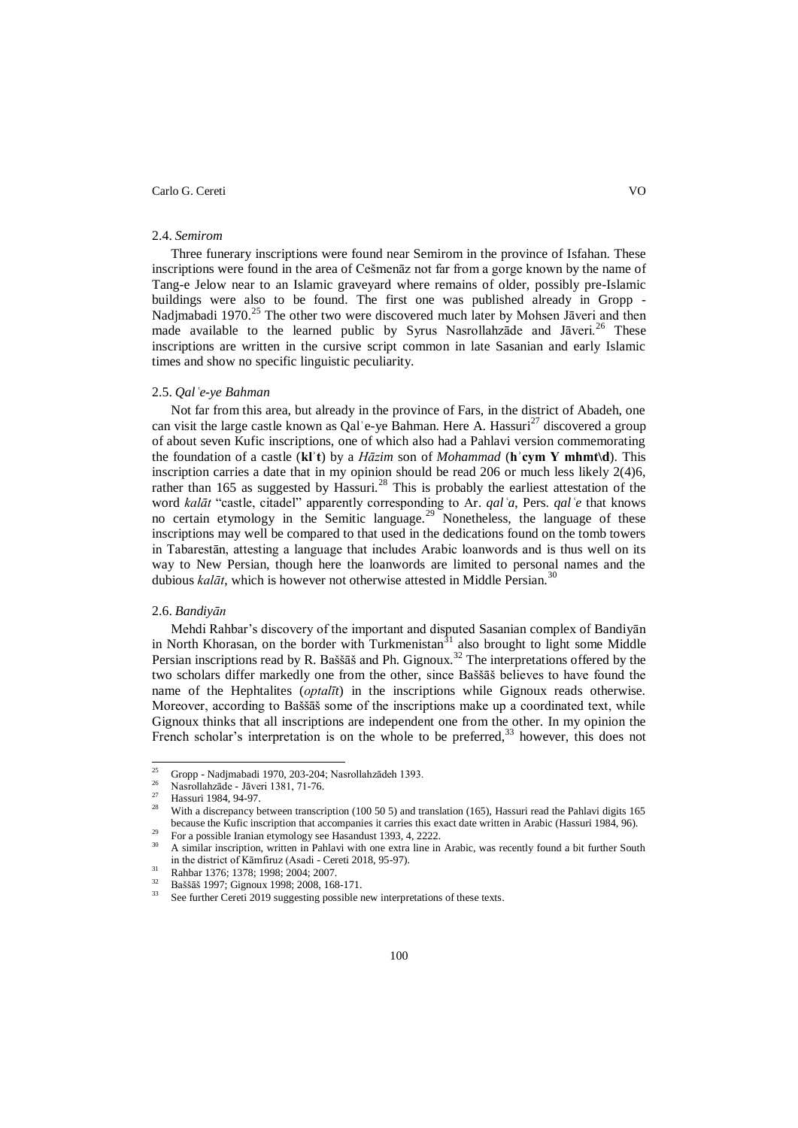#### 2.4. *Semirom*

Three funerary inscriptions were found near Semirom in the province of Isfahan. These inscriptions were found in the area of Cešmenāz not far from a gorge known by the name of Tang-e Jelow near to an Islamic graveyard where remains of older, possibly pre-Islamic buildings were also to be found. The first one was published already in Gropp - Nadjmabadi 1970.<sup>25</sup> The other two were discovered much later by Mohsen Jāveri and then made available to the learned public by Syrus Nasrollahzade and Jāveri.<sup>26</sup> These inscriptions are written in the cursive script common in late Sasanian and early Islamic times and show no specific linguistic peculiarity.

## 2.5. *Qalʿe-ye Bahman*

Not far from this area, but already in the province of Fars, in the district of Abadeh, one can visit the large castle known as Qal'e-ye Bahman. Here A. Hassuri<sup>27</sup> discovered a group of about seven Kufic inscriptions, one of which also had a Pahlavi version commemorating the foundation of a castle (**klʾt**) by a *Hāzim* son of *Mohammad* (**hʾcym Y mhmt\d**). This inscription carries a date that in my opinion should be read 206 or much less likely 2(4)6, rather than 165 as suggested by Hassuri.<sup>28</sup> This is probably the earliest attestation of the word *kalāt* "castle, citadel" apparently corresponding to Ar. *qalʿa*, Pers. *qalʿe* that knows no certain etymology in the Semitic language.<sup>29</sup> Nonetheless, the language of these inscriptions may well be compared to that used in the dedications found on the tomb towers in Tabarestān, attesting a language that includes Arabic loanwords and is thus well on its way to New Persian, though here the loanwords are limited to personal names and the dubious *kalāt*, which is however not otherwise attested in Middle Persian.<sup>3</sup>

# 2.6. *Bandiyān*

Mehdi Rahbar's discovery of the important and disputed Sasanian complex of Bandiyān in North Khorasan, on the border with Turkmenistan<sup>31</sup> also brought to light some Middle Persian inscriptions read by R. Baššāš and Ph. Gignoux.<sup>32</sup> The interpretations offered by the two scholars differ markedly one from the other, since Baššāš believes to have found the name of the Hephtalites (*optalīt*) in the inscriptions while Gignoux reads otherwise. Moreover, according to Baššāš some of the inscriptions make up a coordinated text, while Gignoux thinks that all inscriptions are independent one from the other. In my opinion the French scholar's interpretation is on the whole to be preferred,<sup>33</sup> however, this does not

 $25$ <sup>25</sup> Gropp - Nadjmabadi 1970, 203-204; Nasrollahzādeh 1393.

 $\frac{26}{27}$  Nasrollahzāde - Jāveri 1381, 71-76.

 $\frac{27}{28}$  Hassuri 1984, 94-97.

<sup>28</sup> With a discrepancy between transcription (100 50 5) and translation (165), Hassuri read the Pahlavi digits 165 because the Kufic inscription that accompanies it carries this exact date written in Arabic (Hassuri 1984, 96).

<sup>29</sup> For a possible Iranian etymology see Hasandust 1393, 4, 2222.

<sup>30</sup> A similar inscription, written in Pahlavi with one extra line in Arabic, was recently found a bit further South in the district of Kāmfiruz (Asadi - Cereti 2018, 95-97).

<sup>&</sup>lt;sup>31</sup> Rahbar 1376; 1378; 1998; 2004; 2007.<br><sup>32</sup> Bežž<u>žá 1007; Cianary 1008, 2009</u>. 158

 $\frac{32}{33}$  Baššāš 1997; Gignoux 1998; 2008, 168-171.

See further Cereti 2019 suggesting possible new interpretations of these texts.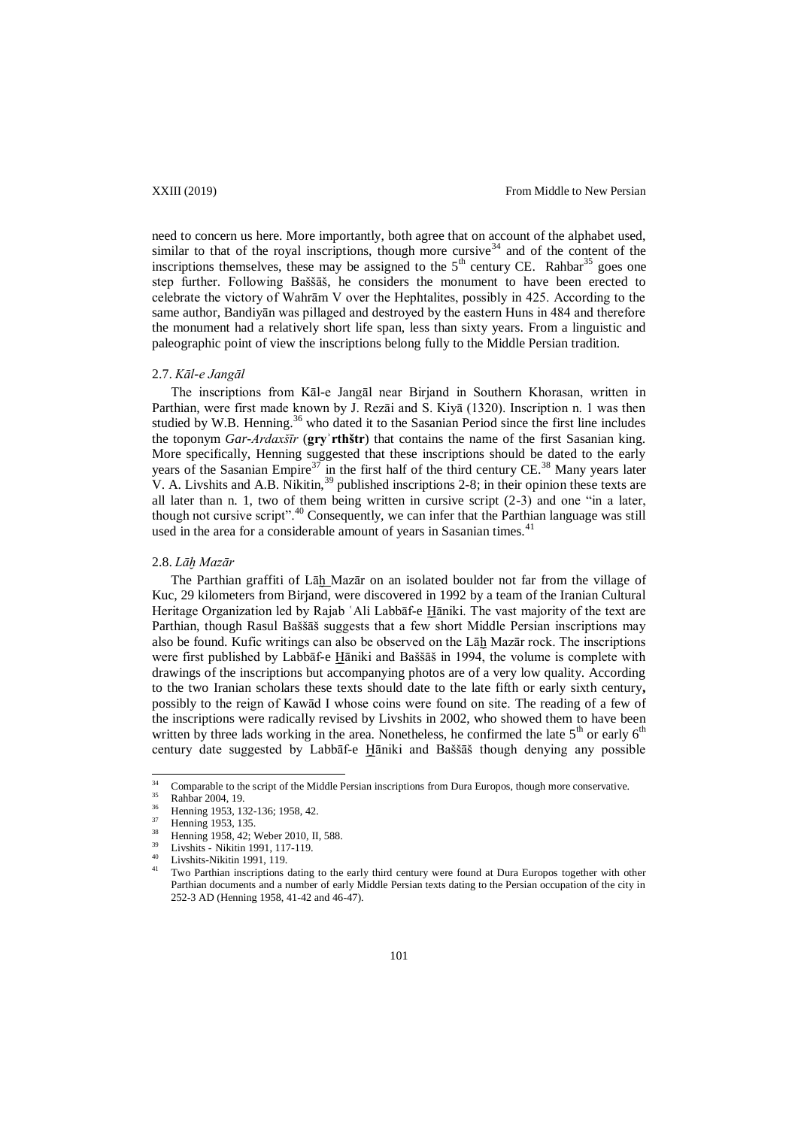need to concern us here. More importantly, both agree that on account of the alphabet used, similar to that of the royal inscriptions, though more cursive  $34$  and of the content of the inscriptions themselves, these may be assigned to the  $5<sup>th</sup>$  century CE. Rahbar<sup>35</sup> goes one step further. Following Baššāš, he considers the monument to have been erected to celebrate the victory of Wahrām V over the Hephtalites, possibly in 425. According to the same author, Bandiyān was pillaged and destroyed by the eastern Huns in 484 and therefore the monument had a relatively short life span, less than sixty years. From a linguistic and paleographic point of view the inscriptions belong fully to the Middle Persian tradition.

### 2.7. *Kāl-e Jangāl*

The inscriptions from Kāl-e Jangāl near Birjand in Southern Khorasan, written in Parthian, were first made known by J. Rezāi and S. Kiyā (1320). Inscription n. 1 was then studied by W.B. Henning.<sup>36</sup> who dated it to the Sasanian Period since the first line includes the toponym *Gar-Ardaxšīr* (**gryʾrthštr**) that contains the name of the first Sasanian king. More specifically, Henning suggested that these inscriptions should be dated to the early years of the Sasanian Empire<sup>37</sup> in the first half of the third century CE.<sup>38</sup> Many years later V. A. Livshits and A.B. Nikitin,  $39$  published inscriptions 2-8; in their opinion these texts are all later than n. 1, two of them being written in cursive script (2-3) and one "in a later, though not cursive script".<sup>40</sup> Consequently, we can infer that the Parthian language was still used in the area for a considerable amount of years in Sasanian times.<sup>41</sup>

## 2.8. *Lāḫ Mazār*

The Parthian graffiti of Lāḫ Mazār on an isolated boulder not far from the village of Kuc, 29 kilometers from Birjand, were discovered in 1992 by a team of the Iranian Cultural Heritage Organization led by Rajab ʿAli Labbāf-e Ḫāniki. The vast majority of the text are Parthian, though Rasul Baššāš suggests that a few short Middle Persian inscriptions may also be found. Kufic writings can also be observed on the Lāḫ Mazār rock. The inscriptions were first published by Labbāf-e Ḫāniki and Baššāš in 1994, the volume is complete with drawings of the inscriptions but accompanying photos are of a very low quality. According to the two Iranian scholars these texts should date to the late fifth or early sixth century**,**  possibly to the reign of Kawād I whose coins were found on site. The reading of a few of the inscriptions were radically revised by Livshits in 2002, who showed them to have been written by three lads working in the area. Nonetheless, he confirmed the late  $5<sup>th</sup>$  or early  $6<sup>th</sup>$ century date suggested by Labbāf-e Ḫāniki and Baššāš though denying any possible

 $34$ <sup>34</sup> Comparable to the script of the Middle Persian inscriptions from Dura Europos, though more conservative.

 $\frac{35}{36}$  Rahbar 2004, 19.

 $\frac{36}{37}$  Henning 1953, 132-136; 1958, 42.

 $\frac{37}{38}$  Henning 1953, 135.

Henning 1958, 42; Weber 2010, II, 588.

<sup>39</sup> Livshits - Nikitin 1991, 117-119.

 $^{40}$  Livshits-Nikitin 1991, 119.

Two Parthian inscriptions dating to the early third century were found at Dura Europos together with other Parthian documents and a number of early Middle Persian texts dating to the Persian occupation of the city in 252-3 AD (Henning 1958, 41-42 and 46-47).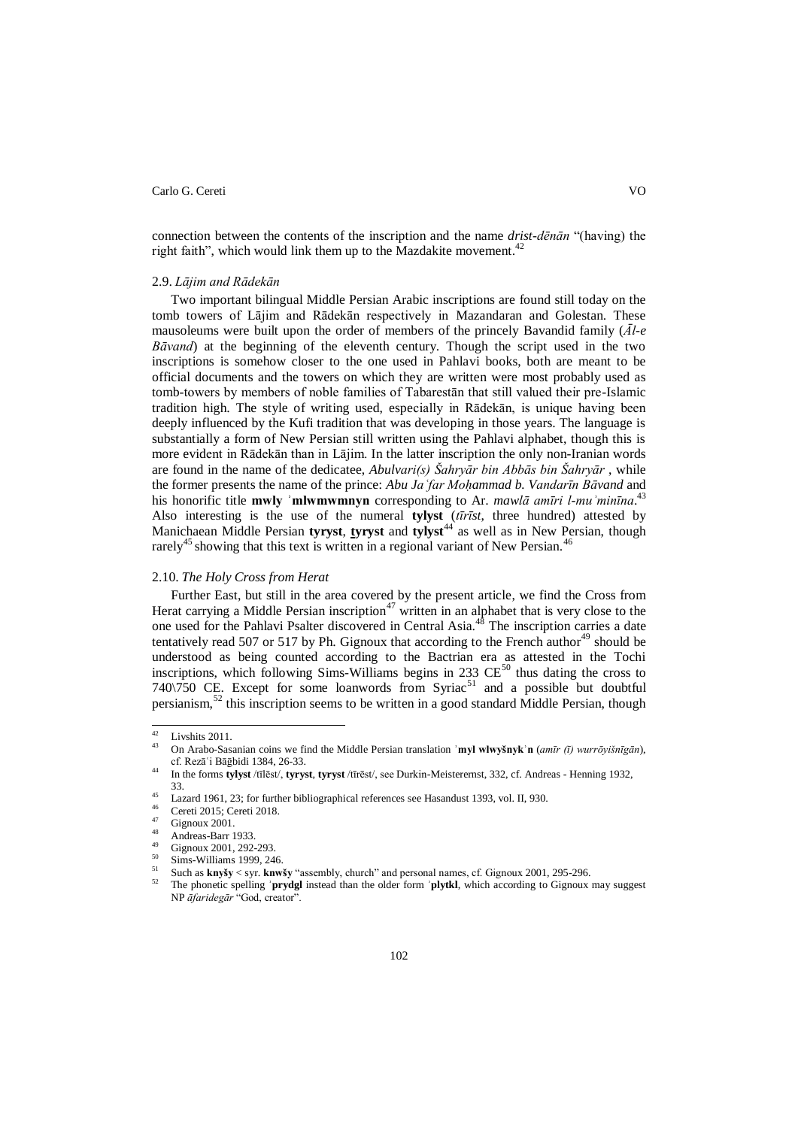connection between the contents of the inscription and the name *drist-dēnān* "(having) the right faith", which would link them up to the Mazdakite movement.<sup>42</sup>

## 2.9. *Lājim and Rādekān*

Two important bilingual Middle Persian Arabic inscriptions are found still today on the tomb towers of Lājim and Rādekān respectively in Mazandaran and Golestan. These mausoleums were built upon the order of members of the princely Bavandid family (*Āl-e Bāvand*) at the beginning of the eleventh century. Though the script used in the two inscriptions is somehow closer to the one used in Pahlavi books, both are meant to be official documents and the towers on which they are written were most probably used as tomb-towers by members of noble families of Tabarestān that still valued their pre-Islamic tradition high. The style of writing used, especially in Rādekān, is unique having been deeply influenced by the Kufi tradition that was developing in those years. The language is substantially a form of New Persian still written using the Pahlavi alphabet, though this is more evident in Rādekān than in Lājim. In the latter inscription the only non-Iranian words are found in the name of the dedicatee, *Abulvari(s) Šahryār bin Abbās bin Šahryār* , while the former presents the name of the prince: *Abu Ja 'far Mohammad b. Vandarīn Bāvand* and his honorific title **mwly ʾmlwmwmnyn** corresponding to Ar. *mawlā amīri l-muʾminīna*. 43 Also interesting is the use of the numeral **tylyst** (*tīrīst*, three hundred) attested by Manichaean Middle Persian **tyryst**, **tyryst** and **tylyst**<sup>44</sup> as well as in New Persian, though rarely<sup>45</sup> showing that this text is written in a regional variant of New Persian.<sup>46</sup>

# 2.10. *The Holy Cross from Herat*

Further East, but still in the area covered by the present article, we find the Cross from Herat carrying a Middle Persian inscription<sup>47</sup> written in an alphabet that is very close to the one used for the Pahlavi Psalter discovered in Central Asia.<sup>48</sup> The inscription carries a date tentatively read 507 or 517 by Ph. Gignoux that according to the French author<sup>49</sup> should be understood as being counted according to the Bactrian era as attested in the Tochi inscriptions, which following Sims-Williams begins in 233  $CE^{50}$  thus dating the cross to 740 $\sqrt{750}$  CE. Except for some loanwords from Syriac<sup>51</sup> and a possible but doubtful persianism, $52$  this inscription seems to be written in a good standard Middle Persian, though

 $42$  $^{42}$  Livshits 2011.

<sup>43</sup> On Arabo-Sasanian coins we find the Middle Persian translation **ʾmyl wlwyšnykʾn** (*amīr (ī) wurrōyišnīgān*), cf. Rezāʿi Bāḡbidi 1384, 26-33.

<sup>44</sup> In the forms **tylyst** /tīlēst/, **tyryst**, **tyryst** /tīrēst/, see Durkin-Meisterernst, 332, cf. Andreas - Henning 1932, 33.

<sup>&</sup>lt;sup>45</sup> Lazard 1961, 23; for further bibliographical references see Hasandust 1393, vol. II, 930.

 $^{46}$  Cereti 2015; Cereti 2018.

 $^{47}$  Gignoux 2001.

 $^{48}$  Andreas-Barr 1933.

 $^{49}$  Gignoux 2001, 292-293.

 $\frac{50}{51}$  Sims-Williams 1999, 246.

<sup>51</sup> Such as **knyšy** < syr. **knwšy** "assembly, church" and personal names, cf. Gignoux 2001, 295-296.

<sup>52</sup> The phonetic spelling **ʾprydgl** instead than the older form **ʾplytkl**, which according to Gignoux may suggest NP *āfaridegār* "God, creator".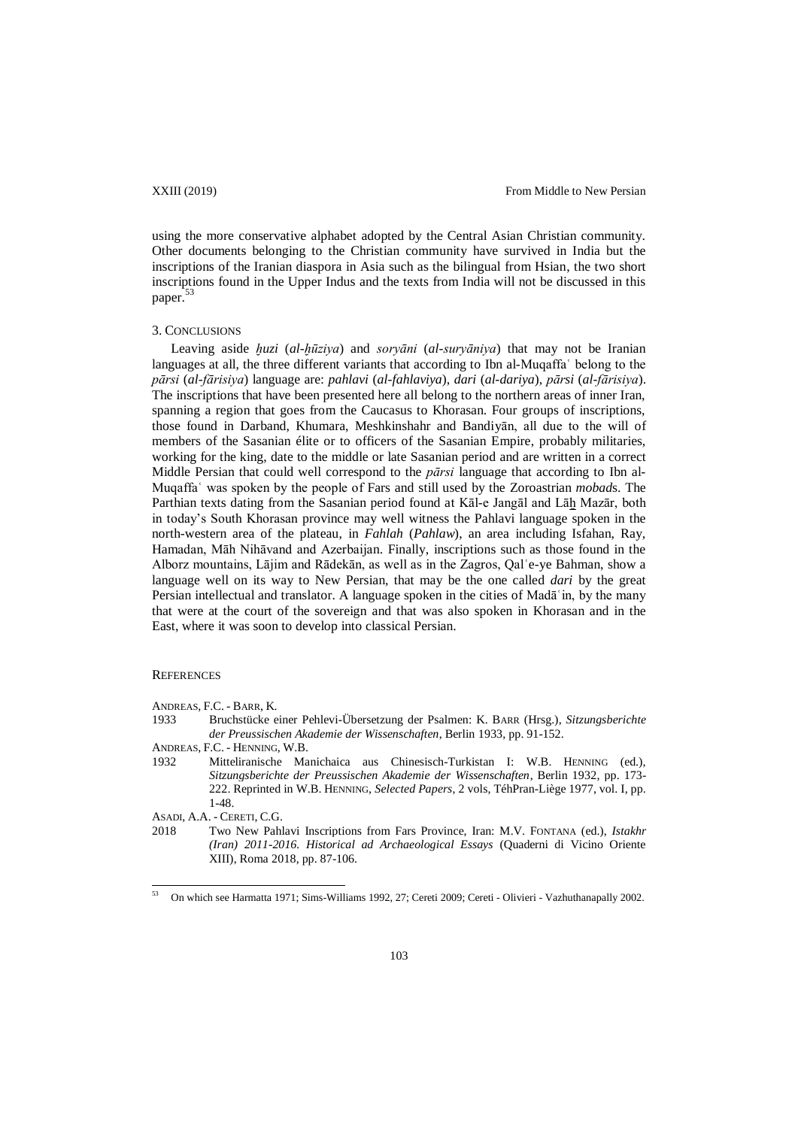using the more conservative alphabet adopted by the Central Asian Christian community. Other documents belonging to the Christian community have survived in India but the inscriptions of the Iranian diaspora in Asia such as the bilingual from Hsian, the two short inscriptions found in the Upper Indus and the texts from India will not be discussed in this paper.<sup>53</sup>

# 3. CONCLUSIONS

Leaving aside *ḫuzi* (*al-ḫūziya*) and *soryāni* (*al-suryāniya*) that may not be Iranian languages at all, the three different variants that according to Ibn al-Muqaffaʿ belong to the *pārsi* (*al-fārisiya*) language are: *pahlavi* (*al-fahlaviya*), *dari* (*al-dariya*), *pārsi* (*al-fārisiya*). The inscriptions that have been presented here all belong to the northern areas of inner Iran, spanning a region that goes from the Caucasus to Khorasan. Four groups of inscriptions, those found in Darband, Khumara, Meshkinshahr and Bandiyān, all due to the will of members of the Sasanian élite or to officers of the Sasanian Empire, probably militaries, working for the king, date to the middle or late Sasanian period and are written in a correct Middle Persian that could well correspond to the *pārsi* language that according to Ibn al-Muqaffaʿ was spoken by the people of Fars and still used by the Zoroastrian *mobad*s. The Parthian texts dating from the Sasanian period found at Kāl-e Jangāl and Lāḫ Mazār, both in today's South Khorasan province may well witness the Pahlavi language spoken in the north-western area of the plateau, in *Fahlah* (*Pahlaw*), an area including Isfahan, Ray, Hamadan, Māh Nihāvand and Azerbaijan. Finally, inscriptions such as those found in the Alborz mountains, Lājim and Rādekān, as well as in the Zagros, Qalʿe-ye Bahman, show a language well on its way to New Persian, that may be the one called *dari* by the great Persian intellectual and translator. A language spoken in the cities of Madā in, by the many that were at the court of the sovereign and that was also spoken in Khorasan and in the East, where it was soon to develop into classical Persian.

#### **REFERENCES**

- ANDREAS, F.C. BARR, K.
- 1933 Bruchstücke einer Pehlevi-Übersetzung der Psalmen: K. BARR (Hrsg.), *Sitzungsberichte der Preussischen Akademie der Wissenschaften*, Berlin 1933, pp. 91-152.
- ANDREAS, F.C. HENNING, W.B.
- 1932 Mitteliranische Manichaica aus Chinesisch-Turkistan I: W.B. HENNING (ed.), *Sitzungsberichte der Preussischen Akademie der Wissenschaften*, Berlin 1932, pp. 173- 222. Reprinted in W.B. HENNING, *Selected Papers*, 2 vols, TéhPran-Liège 1977, vol. I, pp. 1-48.
- ASADI, A.A. CERETI, C.G.
- 2018 Two New Pahlavi Inscriptions from Fars Province, Iran: M.V. FONTANA (ed.), *Istakhr (Iran) 2011-2016. Historical ad Archaeological Essays* (Quaderni di Vicino Oriente XIII), Roma 2018, pp. 87-106.

<sup>53</sup> <sup>53</sup> On which see Harmatta 1971; Sims-Williams 1992, 27; Cereti 2009; Cereti - Olivieri - Vazhuthanapally 2002.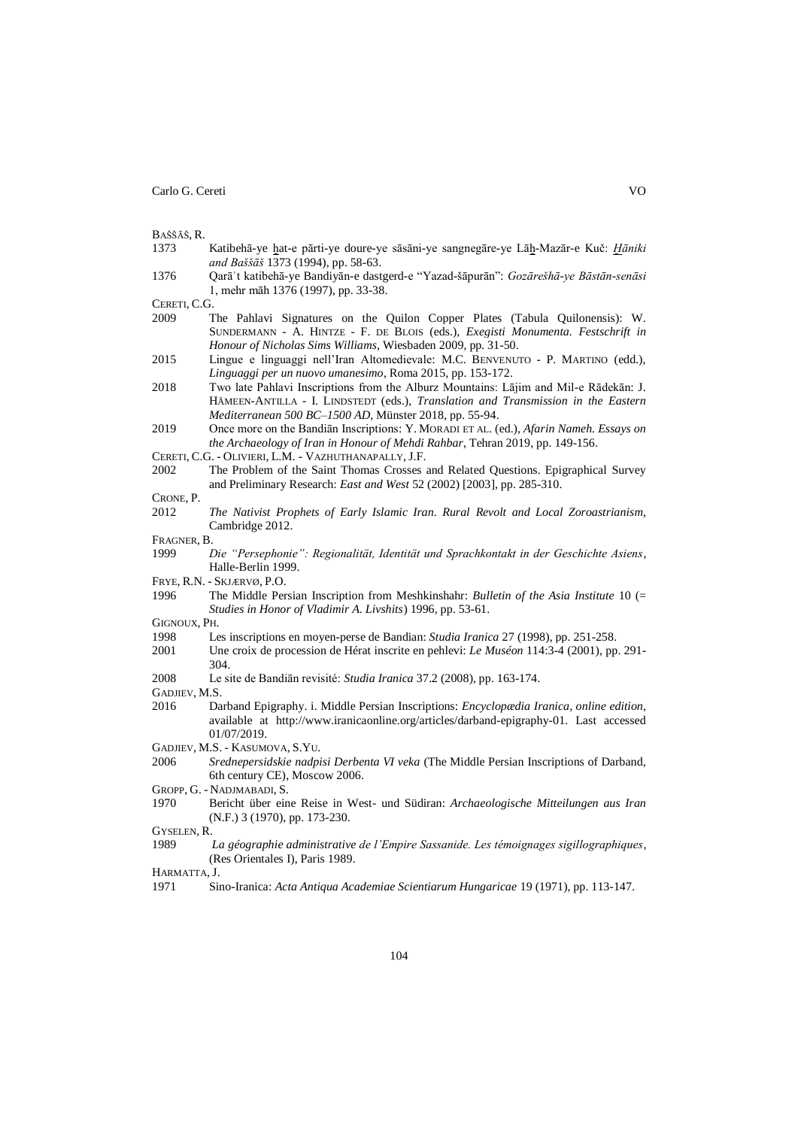BAŠŠĀŠ, R.

- 1373 Katibehā-ye ḫat-e pārti-ye doure-ye sāsāni-ye sangnegāre-ye Lāḫ-Mazār-e Kuč: *Ḫāniki and Baššāš* 1373 (1994), pp. 58-63.
- 1376 Qarāʿt katibehā-ye Bandiyān-e dastgerd-e "Yazad-šāpurān": *Gozārešhā-ye Bāstān-senāsi* 1, mehr māh 1376 (1997), pp. 33-38.

CERETI, C.G.

- 2009 The Pahlavi Signatures on the Quilon Copper Plates (Tabula Quilonensis): W. SUNDERMANN - A. HINTZE - F. DE BLOIS (eds.), *Exegisti Monumenta. Festschrift in Honour of Nicholas Sims Williams*, Wiesbaden 2009, pp. 31-50.
- 2015 Lingue e linguaggi nell'Iran Altomedievale: M.C. BENVENUTO P. MARTINO (edd.), *Linguaggi per un nuovo umanesimo*, Roma 2015, pp. 153-172.
- 2018 Two late Pahlavi Inscriptions from the Alburz Mountains: Lājim and Mil-e Rādekān: J. HÄMEEN-ANTILLA - I. LINDSTEDT (eds.), *Translation and Transmission in the Eastern Mediterranean 500 BC–1500 AD*, Münster 2018, pp. 55-94.
- 2019 Once more on the Bandiān Inscriptions: Y. MORADI ET AL. (ed.), *Afarin Nameh. Essays on the Archaeology of Iran in Honour of Mehdi Rahbar*, Tehran 2019, pp. 149-156.
- CERETI, C.G. OLIVIERI, L.M. VAZHUTHANAPALLY, J.F.
- 2002 The Problem of the Saint Thomas Crosses and Related Questions. Epigraphical Survey and Preliminary Research: *East and West* 52 (2002) [2003], pp. 285-310.
- CRONE, P.
- 2012 *The Nativist Prophets of Early Islamic Iran. Rural Revolt and Local Zoroastrianism*, Cambridge 2012.
- FRAGNER, B.
- 1999 *Die "Persephonie": Regionalität, Identität und Sprachkontakt in der Geschichte Asiens*, Halle-Berlin 1999.
- FRYE, R.N. SKJÆRVØ, P.O.
- 1996 The Middle Persian Inscription from Meshkinshahr: *Bulletin of the Asia Institute* 10 (= *Studies in Honor of Vladimir A. Livshits*) 1996, pp. 53-61.

GIGNOUX, PH.

- 1998 Les inscriptions en moyen-perse de Bandian: *Studia Iranica* 27 (1998), pp. 251-258.
- 2001 Une croix de procession de Hérat inscrite en pehlevi: *Le Muséon* 114:3-4 (2001), pp. 291- 304.
- 2008 Le site de Bandiān revisité: *Studia Iranica* 37.2 (2008), pp. 163-174.
- GADJIEV, M.S.
- 2016 Darband Epigraphy. i. Middle Persian Inscriptions: *Encyclopædia Iranica, online edition*, available at [http://www.iranicaonline.org/articles/darband-epigraphy-01.](http://www.iranicaonline.org/articles/darband-epigraphy-01) Last accessed 01/07/2019.
- GADJIEV, M.S. KASUMOVA, S.YU.
- 2006 *Srednepersidskie nadpisi Derbenta VI veka* (The Middle Persian Inscriptions of Darband, 6th century CE), Moscow 2006.
- GROPP, G. NADJMABADI, S.
- 1970 Bericht über eine Reise in West- und Südiran: *Archaeologische Mitteilungen aus Iran* (N.F.) 3 (1970), pp. 173-230.

GYSELEN, R.

1989 *La géographie administrative de l'Empire Sassanide. Les témoignages sigillographiques*, (Res Orientales I), Paris 1989.

HARMATTA, J.

1971 Sino-Iranica: *Acta Antiqua Academiae Scientiarum Hungaricae* 19 (1971), pp. 113-147.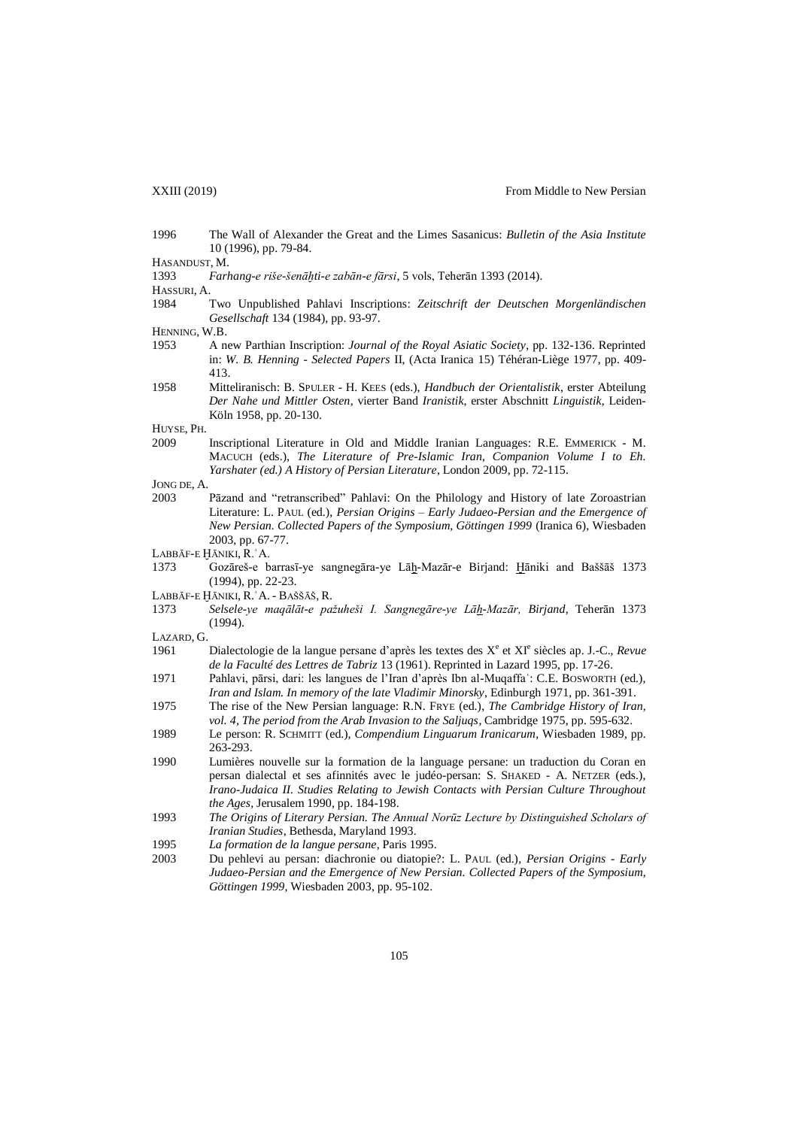- 1996 The Wall of Alexander the Great and the Limes Sasanicus: *Bulletin of the Asia Institute* 10 (1996), pp. 79-84.
- HASANDUST, M.
- 1393 *Farhang-e riše-šenāḫti-e zabān-e fārsi*, 5 vols, Teherān 1393 (2014).
- HASSURI, A.
- 1984 Two Unpublished Pahlavi Inscriptions: *[Zeitschrift der Deutschen Morgenländischen](http://menadoc.bibliothek.uni-halle.de/dmg/periodical/structure/2327)  [Gesellschaft](http://menadoc.bibliothek.uni-halle.de/dmg/periodical/structure/2327)* 134 (1984), pp. 93-97.
- HENNING, W.B.
- 1953 A new Parthian Inscription: *Journal of the Royal Asiatic Society*, pp. 132-136. Reprinted in: *W. B. Henning - Selected Papers* II, (Acta Iranica 15) Téhéran-Liège 1977, pp. 409- 413.
- 1958 Mitteliranisch: B. SPULER H. KEES (eds.), *Handbuch der Orientalistik*, erster Abteilung *Der Nahe und Mittler Osten*, vierter Band *Iranistik*, erster Abschnitt *Linguistik*, Leiden-Köln 1958, pp. 20-130.

HUYSE, PH.

- 2009 Inscriptional Literature in Old and Middle Iranian Languages: R.E. EMMERICK M. MACUCH (eds.), *The Literature of Pre-Islamic Iran*, *Companion Volume I to Eh. Yarshater (ed.) A History of Persian Literature*, London 2009, pp. 72-115.
- JONG DE, A.
- 2003 Pāzand and "retranscribed" Pahlavi: On the Philology and History of late Zoroastrian Literature: L. PAUL (ed.), *Persian Origins – Early Judaeo-Persian and the Emergence of New Persian. Collected Papers of the Symposium, Göttingen 1999* (Iranica 6), Wiesbaden 2003, pp. 67-77.
- LABBĀF-E ḪĀNIKI, R.ʿA.
- 1373 Gozāreš-e barrasī-ye sangnegāra-ye Lāḫ-Mazār-e Birjand: Ḫāniki and Baššāš 1373 (1994), pp. 22-23.
- LABBĀF-E ḪĀNIKI, R.ʿA. BAŠŠĀŠ, R.
- 1373 *Selsele-ye maqālāt-e pažuheši I. Sangnegāre-ye Lāḫ-Mazār, Birjand*, Teherān 1373 (1994).
- LAZARD, G.
- 1961 Dialectologie de la langue persane d'après les textes des X<sup>e</sup> et XI<sup>e</sup> siècles ap. J.-C., Revue *de la Faculté des Lettres de Tabriz* 13 (1961). Reprinted in Lazard 1995, pp. 17-26.
- 1971 Pahlavi, pārsi, dari: les langues de l'Iran d'après Ibn al-Muqaffaʿ: C.E. BOSWORTH (ed.), *Iran and Islam. In memory of the late Vladimir Minorsky*, Edinburgh 1971, pp. 361-391.
- 1975 The rise of the New Persian language: R.N. FRYE (ed.), *The Cambridge History of Iran, vol. 4, The period from the Arab Invasion to the Saljuqs*, Cambridge 1975, pp. 595-632.
- 1989 Le person: R. SCHMITT (ed.), *Compendium Linguarum Iranicarum*, Wiesbaden 1989, pp. 263-293.
- 1990 Lumières nouvelle sur la formation de la language persane: un traduction du Coran en persan dialectal et ses afinnités avec le judéo-persan: S. SHAKED - A. NETZER (eds.), *Irano-Judaica II. Studies Relating to Jewish Contacts with Persian Culture Throughout the Ages*, Jerusalem 1990, pp. 184-198.
- 1993 *The Origins of Literary Persian. The Annual Norūz Lecture by Distinguished Scholars of Iranian Studies*, Bethesda, Maryland 1993.
- 1995 *La formation de la langue persane*, Paris 1995.
- 2003 Du pehlevi au persan: diachronie ou diatopie?: L. PAUL (ed.), *Persian Origins - Early Judaeo-Persian and the Emergence of New Persian. Collected Papers of the Symposium, Göttingen 1999*, Wiesbaden 2003, pp. 95-102.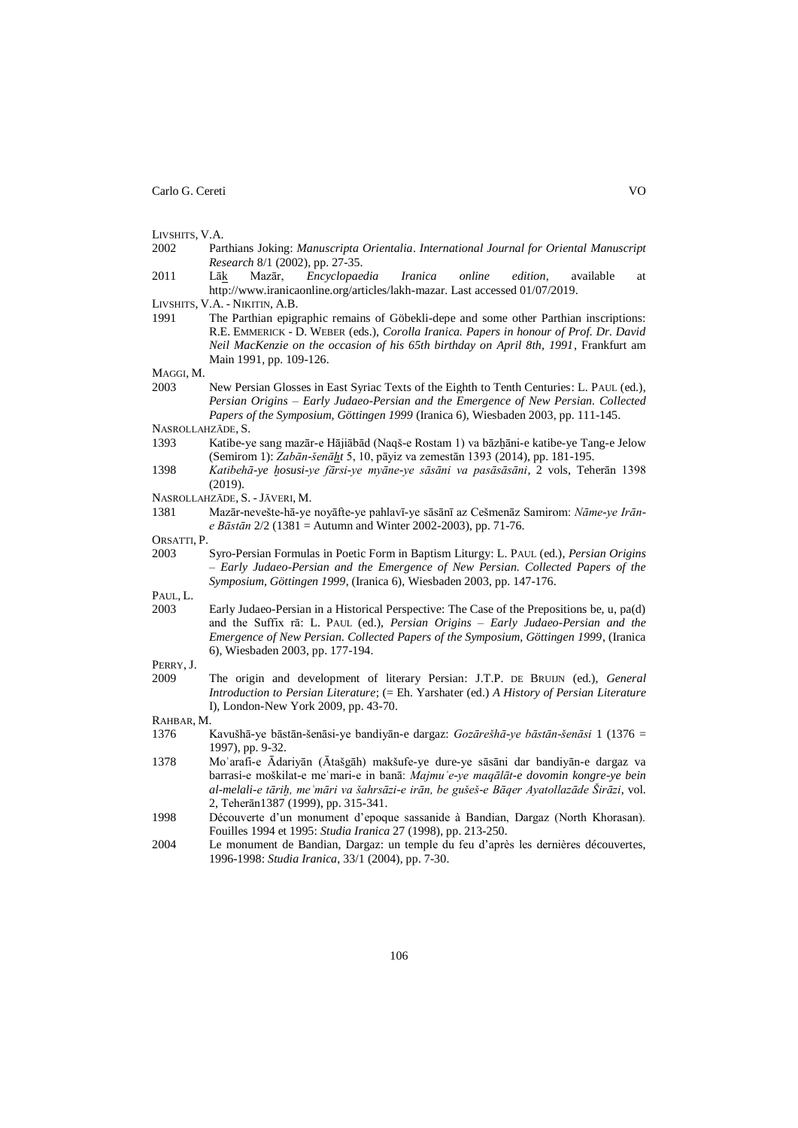LIVSHITS, V.A.

- 2002 Parthians Joking: *Manuscripta Orientalia*. *International Journal for Oriental Manuscript Research* 8/1 (2002), pp. 27-35.
- 2011 Lāk Mazār, *Encyclopaedia Iranica online edition,* available at [http://www.iranicaonline.org/articles/lakh-mazar.](http://www.iranicaonline.org/articles/lakh-mazar) Last accessed 01/07/2019.
- LIVSHITS, V.A. NIKITIN, A.B.
- 1991 The Parthian epigraphic remains of Göbekli-depe and some other Parthian inscriptions: R.E. EMMERICK - D. WEBER (eds.), *Corolla Iranica. Papers in honour of Prof. Dr. David Neil MacKenzie on the occasion of his 65th birthday on April 8th, 1991*, Frankfurt am Main 1991, pp. 109-126.

MAGGI, M.

2003 New Persian Glosses in East Syriac Texts of the Eighth to Tenth Centuries: L. PAUL (ed.), *Persian Origins – Early Judaeo-Persian and the Emergence of New Persian. Collected Papers of the Symposium, Göttingen 1999* (Iranica 6), Wiesbaden 2003, pp. 111-145.

NASROLLAHZĀDE, S.

- 1393 Katibe-ye sang mazār-e Hājiābād (Naqš-e Rostam 1) va bāzḫāni-e katibe-ye Tang-e Jelow (Semirom 1): *Zabān-šenāḫt* 5, 10, pāyiz va zemestān 1393 (2014), pp. 181-195.
- 1398 *Katibehā-ye ḫosusi-ye fārsi-ye myāne-ye sāsāni va pasāsāsāni*, 2 vols, Teherān 1398 (2019).
- NASROLLAHZĀDE, S. JĀVERI, M.

- ORSATTI, P.
- 2003 Syro-Persian Formulas in Poetic Form in Baptism Liturgy: L. PAUL (ed.), *Persian Origins – Early Judaeo-Persian and the Emergence of New Persian. Collected Papers of the Symposium, Göttingen 1999*, (Iranica 6), Wiesbaden 2003, pp. 147-176.

PAUL, L.

2003 Early Judaeo-Persian in a Historical Perspective: The Case of the Prepositions be, u, pa(d) and the Suffix rā: L. PAUL (ed.), *Persian Origins – Early Judaeo-Persian and the Emergence of New Persian. Collected Papers of the Symposium, Göttingen 1999*, (Iranica 6), Wiesbaden 2003, pp. 177-194.

PERRY, J.

2009 The origin and development of literary Persian: J.T.P. DE BRUIJN (ed.), *General Introduction to Persian Literature*; (= Eh. Yarshater (ed.) *A History of Persian Literature* I), London-New York 2009, pp. 43-70.

RAHBAR, M.

- 1376 Kavušhā-ye bāstān-šenāsi-ye bandiyān-e dargaz: *Gozārešhā-ye bāstān-šenāsi* 1 (1376 = 1997), pp. 9-32.
- 1378 Moʿarafi-e Ādariyān (Ātašgāh) makšufe-ye dure-ye sāsāni dar bandiyān-e dargaz va barrasi-e moškilat-e meʿmari-e in banā: *Majmuʿe-ye maqālāt-e dovomin kongre-ye bein al-melali-e tāriḫ, meʿmāri va šahrsāzi-e irān, be gušeš-e Bāqer Ayatollazāde Širāzi*, vol. 2, Teherān1387 (1999), pp. 315-341.
- 1998 Découverte d'un monument d'epoque sassanide à Bandian, Dargaz (North Khorasan). Fouilles 1994 et 1995: *Studia Iranica* 27 (1998), pp. 213-250.
- 2004 Le monument de Bandian, Dargaz: un temple du feu d'après les dernières découvertes, 1996-1998: *Studia Iranica*, 33/1 (2004), pp. 7-30.

<sup>1381</sup> Mazār-nevešte-hā-ye noyāfte-ye pahlavī-ye sāsānī az Cešmenāz Samirom: *Nāme-ye Irāne Bāstān* 2/2 (1381 = Autumn and Winter 2002-2003), pp. 71-76.